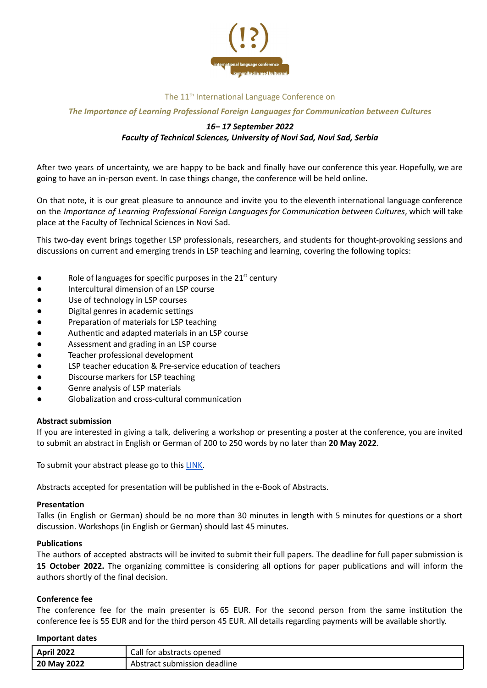

## The 11<sup>th</sup> International Language Conference on

## *The Importance of Learning Professional Foreign Languages for Communication between Cultures*

# *16– 17 September 2022 Faculty of Technical Sciences, University of Novi Sad, Novi Sad, Serbia*

After two years of uncertainty, we are happy to be back and finally have our conference this year. Hopefully, we are going to have an in-person event. In case things change, the conference will be held online.

On that note, it is our great pleasure to announce and invite you to the eleventh international language conference on the *Importance of Learning Professional Foreign Languages for Communication between Cultures*, which will take place at the Faculty of Technical Sciences in Novi Sad.

This two-day event brings together LSP professionals, researchers, and students for thought-provoking sessions and discussions on current and emerging trends in LSP teaching and learning, covering the following topics:

- $\bullet$  Role of languages for specific purposes in the 21<sup>st</sup> century
- Intercultural dimension of an LSP course
- Use of technology in LSP courses
- Digital genres in academic settings
- Preparation of materials for LSP teaching
- Authentic and adapted materials in an LSP course
- Assessment and grading in an LSP course
- Teacher professional development
- LSP teacher education & Pre-service education of teachers
- Discourse markers for LSP teaching
- Genre analysis of LSP materials
- Globalization and cross-cultural communication

## **Abstract submission**

If you are interested in giving a talk, delivering a workshop or presenting a poster at the conference, you are invited to submit an abstract in English or German of 200 to 250 words by no later than **20 May 2022**.

To submit your abstract please go to this [LINK.](https://docs.google.com/forms/d/e/1FAIpQLSeF9fK2cOyMeai-ReVQgiLZgzT1fZEGnPcERdF6sQDhfzyWQg/viewform?usp=sf_link)

Abstracts accepted for presentation will be published in the e-Book of Abstracts.

#### **Presentation**

Talks (in English or German) should be no more than 30 minutes in length with 5 minutes for questions or a short discussion. Workshops (in English or German) should last 45 minutes.

## **Publications**

The authors of accepted abstracts will be invited to submit their full papers. The deadline for full paper submission is **15 October 2022.** The organizing committee is considering all options for paper publications and will inform the authors shortly of the final decision.

## **Conference fee**

The conference fee for the main presenter is 65 EUR. For the second person from the same institution the conference fee is 55 EUR and for the third person 45 EUR. All details regarding payments will be available shortly.

#### **Important dates**

| 2022<br>April  | Call<br>tor.<br>' abstracts opened   |
|----------------|--------------------------------------|
| 2022<br>20 May | submission<br>deadline<br>: Abstract |